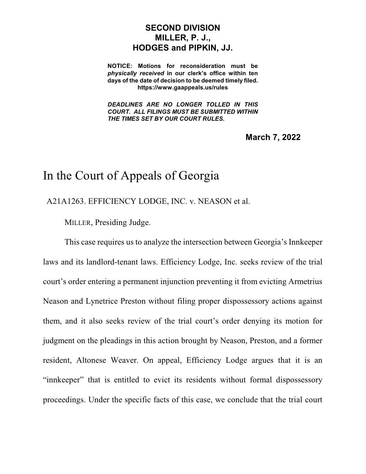## **SECOND DIVISION MILLER, P. J., HODGES and PIPKIN, JJ.**

**NOTICE: Motions for reconsideration must be** *physically received* **in our clerk's office within ten days of the date of decision to be deemed timely filed. https://www.gaappeals.us/rules**

*DEADLINES ARE NO LONGER TOLLED IN THIS COURT. ALL FILINGS MUST BE SUBMITTED WITHIN THE TIMES SET BY OUR COURT RULES.*

**March 7, 2022**

## In the Court of Appeals of Georgia

A21A1263. EFFICIENCY LODGE, INC. v. NEASON et al.

MILLER, Presiding Judge.

This case requires us to analyze the intersection between Georgia's Innkeeper laws and its landlord-tenant laws. Efficiency Lodge, Inc. seeks review of the trial court's order entering a permanent injunction preventing it from evicting Armetrius Neason and Lynetrice Preston without filing proper dispossessory actions against them, and it also seeks review of the trial court's order denying its motion for judgment on the pleadings in this action brought by Neason, Preston, and a former resident, Altonese Weaver. On appeal, Efficiency Lodge argues that it is an "innkeeper" that is entitled to evict its residents without formal dispossessory proceedings. Under the specific facts of this case, we conclude that the trial court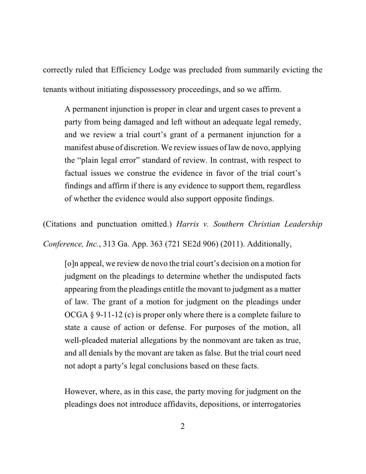correctly ruled that Efficiency Lodge was precluded from summarily evicting the tenants without initiating dispossessory proceedings, and so we affirm.

A permanent injunction is proper in clear and urgent cases to prevent a party from being damaged and left without an adequate legal remedy, and we review a trial court's grant of a permanent injunction for a manifest abuse of discretion. We review issues of law de novo, applying the "plain legal error" standard of review. In contrast, with respect to factual issues we construe the evidence in favor of the trial court's findings and affirm if there is any evidence to support them, regardless of whether the evidence would also support opposite findings.

(Citations and punctuation omitted.) *Harris v. Southern Christian Leadership Conference, Inc.*, 313 Ga. App. 363 (721 SE2d 906) (2011). Additionally,

[o]n appeal, we review de novo the trial court's decision on a motion for judgment on the pleadings to determine whether the undisputed facts appearing from the pleadings entitle the movant to judgment as a matter of law. The grant of a motion for judgment on the pleadings under OCGA § 9-11-12 (c) is proper only where there is a complete failure to state a cause of action or defense. For purposes of the motion, all well-pleaded material allegations by the nonmovant are taken as true, and all denials by the movant are taken as false. But the trial court need not adopt a party's legal conclusions based on these facts.

However, where, as in this case, the party moving for judgment on the pleadings does not introduce affidavits, depositions, or interrogatories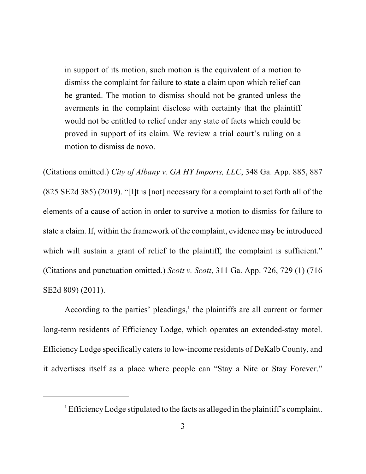in support of its motion, such motion is the equivalent of a motion to dismiss the complaint for failure to state a claim upon which relief can be granted. The motion to dismiss should not be granted unless the averments in the complaint disclose with certainty that the plaintiff would not be entitled to relief under any state of facts which could be proved in support of its claim. We review a trial court's ruling on a motion to dismiss de novo.

(Citations omitted.) *City of Albany v. GA HY Imports, LLC*, 348 Ga. App. 885, 887 (825 SE2d 385) (2019). "[I]t is [not] necessary for a complaint to set forth all of the elements of a cause of action in order to survive a motion to dismiss for failure to state a claim. If, within the framework of the complaint, evidence may be introduced which will sustain a grant of relief to the plaintiff, the complaint is sufficient." (Citations and punctuation omitted.) *Scott v. Scott*, 311 Ga. App. 726, 729 (1) (716 SE2d 809) (2011).

According to the parties' pleadings, $<sup>1</sup>$  the plaintiffs are all current or former</sup> long-term residents of Efficiency Lodge, which operates an extended-stay motel. Efficiency Lodge specifically caters to low-income residents of DeKalb County, and it advertises itself as a place where people can "Stay a Nite or Stay Forever."

<sup>&</sup>lt;sup>1</sup> Efficiency Lodge stipulated to the facts as alleged in the plaintiff's complaint.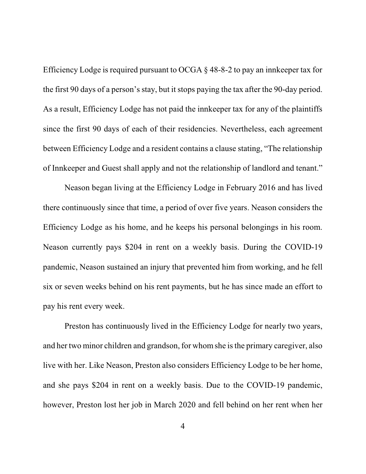Efficiency Lodge is required pursuant to OCGA § 48-8-2 to pay an innkeeper tax for the first 90 days of a person's stay, but it stops paying the tax after the 90-day period. As a result, Efficiency Lodge has not paid the innkeeper tax for any of the plaintiffs since the first 90 days of each of their residencies. Nevertheless, each agreement between Efficiency Lodge and a resident contains a clause stating, "The relationship of Innkeeper and Guest shall apply and not the relationship of landlord and tenant."

Neason began living at the Efficiency Lodge in February 2016 and has lived there continuously since that time, a period of over five years. Neason considers the Efficiency Lodge as his home, and he keeps his personal belongings in his room. Neason currently pays \$204 in rent on a weekly basis. During the COVID-19 pandemic, Neason sustained an injury that prevented him from working, and he fell six or seven weeks behind on his rent payments, but he has since made an effort to pay his rent every week.

Preston has continuously lived in the Efficiency Lodge for nearly two years, and her two minor children and grandson, for whom she is the primary caregiver, also live with her. Like Neason, Preston also considers Efficiency Lodge to be her home, and she pays \$204 in rent on a weekly basis. Due to the COVID-19 pandemic, however, Preston lost her job in March 2020 and fell behind on her rent when her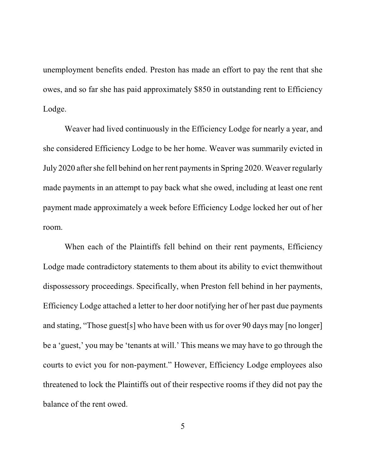unemployment benefits ended. Preston has made an effort to pay the rent that she owes, and so far she has paid approximately \$850 in outstanding rent to Efficiency Lodge.

Weaver had lived continuously in the Efficiency Lodge for nearly a year, and she considered Efficiency Lodge to be her home. Weaver was summarily evicted in July 2020 after she fell behind on her rent paymentsin Spring 2020. Weaver regularly made payments in an attempt to pay back what she owed, including at least one rent payment made approximately a week before Efficiency Lodge locked her out of her room.

When each of the Plaintiffs fell behind on their rent payments, Efficiency Lodge made contradictory statements to them about its ability to evict themwithout dispossessory proceedings. Specifically, when Preston fell behind in her payments, Efficiency Lodge attached a letter to her door notifying her of her past due payments and stating, "Those guest[s] who have been with us for over 90 days may [no longer] be a 'guest,' you may be 'tenants at will.' This means we may have to go through the courts to evict you for non-payment." However, Efficiency Lodge employees also threatened to lock the Plaintiffs out of their respective rooms if they did not pay the balance of the rent owed.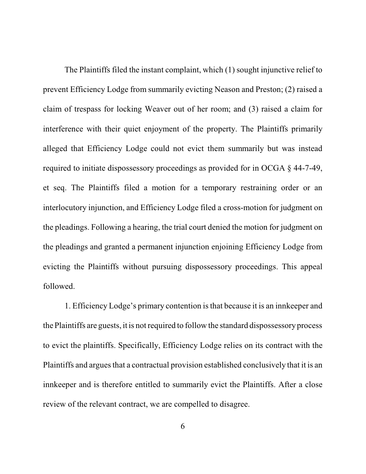The Plaintiffs filed the instant complaint, which (1) sought injunctive relief to prevent Efficiency Lodge from summarily evicting Neason and Preston; (2) raised a claim of trespass for locking Weaver out of her room; and (3) raised a claim for interference with their quiet enjoyment of the property. The Plaintiffs primarily alleged that Efficiency Lodge could not evict them summarily but was instead required to initiate dispossessory proceedings as provided for in OCGA § 44-7-49, et seq. The Plaintiffs filed a motion for a temporary restraining order or an interlocutory injunction, and Efficiency Lodge filed a cross-motion for judgment on the pleadings. Following a hearing, the trial court denied the motion for judgment on the pleadings and granted a permanent injunction enjoining Efficiency Lodge from evicting the Plaintiffs without pursuing dispossessory proceedings. This appeal followed.

1. Efficiency Lodge's primary contention isthat because it is an innkeeper and the Plaintiffs are guests, it is not required to follow the standard dispossessory process to evict the plaintiffs. Specifically, Efficiency Lodge relies on its contract with the Plaintiffs and argues that a contractual provision established conclusively that it is an innkeeper and is therefore entitled to summarily evict the Plaintiffs. After a close review of the relevant contract, we are compelled to disagree.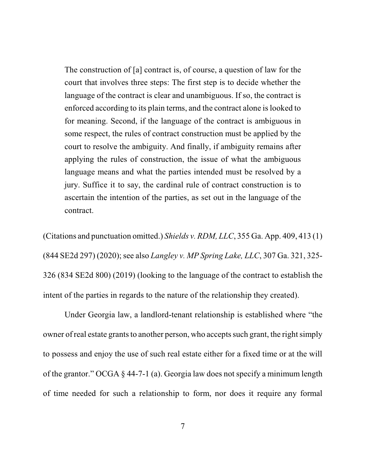The construction of [a] contract is, of course, a question of law for the court that involves three steps: The first step is to decide whether the language of the contract is clear and unambiguous. If so, the contract is enforced according to its plain terms, and the contract alone is looked to for meaning. Second, if the language of the contract is ambiguous in some respect, the rules of contract construction must be applied by the court to resolve the ambiguity. And finally, if ambiguity remains after applying the rules of construction, the issue of what the ambiguous language means and what the parties intended must be resolved by a jury. Suffice it to say, the cardinal rule of contract construction is to ascertain the intention of the parties, as set out in the language of the contract.

(Citations and punctuation omitted.) *Shields v. RDM, LLC*, 355 Ga. App. 409, 413 (1) (844 SE2d 297) (2020); see also *Langley v. MP Spring Lake, LLC*, 307 Ga. 321, 325- 326 (834 SE2d 800) (2019) (looking to the language of the contract to establish the intent of the parties in regards to the nature of the relationship they created).

Under Georgia law, a landlord-tenant relationship is established where "the owner of real estate grants to another person, who accepts such grant, the right simply to possess and enjoy the use of such real estate either for a fixed time or at the will of the grantor." OCGA § 44-7-1 (a). Georgia law does not specify a minimum length of time needed for such a relationship to form, nor does it require any formal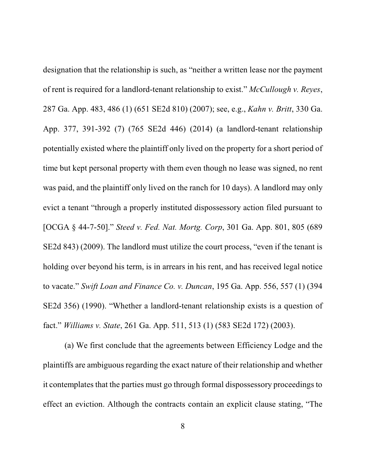designation that the relationship is such, as "neither a written lease nor the payment of rent is required for a landlord-tenant relationship to exist." *McCullough v. Reyes*, 287 Ga. App. 483, 486 (1) (651 SE2d 810) (2007); see, e.g., *Kahn v. Britt*, 330 Ga. App. 377, 391-392 (7) (765 SE2d 446) (2014) (a landlord-tenant relationship potentially existed where the plaintiff only lived on the property for a short period of time but kept personal property with them even though no lease was signed, no rent was paid, and the plaintiff only lived on the ranch for 10 days). A landlord may only evict a tenant "through a properly instituted dispossessory action filed pursuant to [OCGA § 44-7-50]." *Steed v. Fed. Nat. Mortg. Corp*, 301 Ga. App. 801, 805 (689 SE2d 843) (2009). The landlord must utilize the court process, "even if the tenant is holding over beyond his term, is in arrears in his rent, and has received legal notice to vacate." *Swift Loan and Finance Co. v. Duncan*, 195 Ga. App. 556, 557 (1) (394 SE2d 356) (1990). "Whether a landlord-tenant relationship exists is a question of fact." *Williams v. State*, 261 Ga. App. 511, 513 (1) (583 SE2d 172) (2003).

(a) We first conclude that the agreements between Efficiency Lodge and the plaintiffs are ambiguous regarding the exact nature of their relationship and whether it contemplates that the parties must go through formal dispossessory proceedings to effect an eviction. Although the contracts contain an explicit clause stating, "The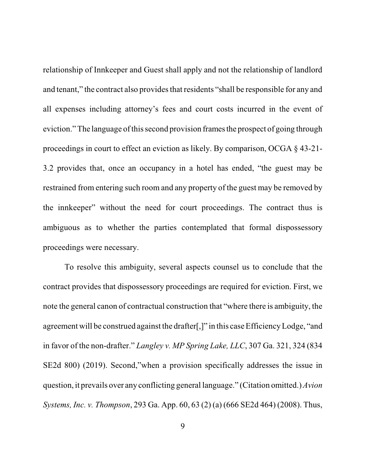relationship of Innkeeper and Guest shall apply and not the relationship of landlord and tenant," the contract also provides that residents "shall be responsible for any and all expenses including attorney's fees and court costs incurred in the event of eviction." The language of this second provision frames the prospect of going through proceedings in court to effect an eviction as likely. By comparison, OCGA § 43-21- 3.2 provides that, once an occupancy in a hotel has ended, "the guest may be restrained from entering such room and any property of the guest may be removed by the innkeeper" without the need for court proceedings. The contract thus is ambiguous as to whether the parties contemplated that formal dispossessory proceedings were necessary.

To resolve this ambiguity, several aspects counsel us to conclude that the contract provides that dispossessory proceedings are required for eviction. First, we note the general canon of contractual construction that "where there is ambiguity, the agreement will be construed against the drafter[,]" in this case EfficiencyLodge, "and in favor of the non-drafter." *Langley v. MP Spring Lake, LLC*, 307 Ga. 321, 324 (834 SE2d 800) (2019). Second,"when a provision specifically addresses the issue in question, it prevails over any conflicting general language." (Citation omitted.) *Avion Systems, Inc. v. Thompson*, 293 Ga. App. 60, 63 (2) (a) (666 SE2d 464) (2008). Thus,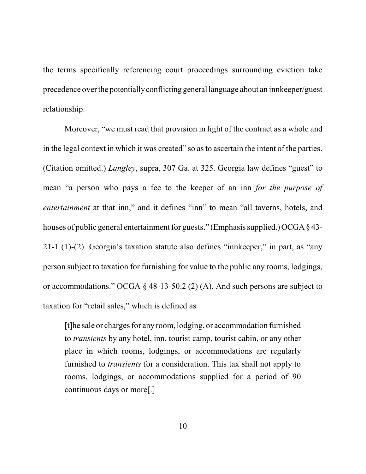the terms specifically referencing court proceedings surrounding eviction take precedence overthe potentiallyconflicting general language about an innkeeper/guest relationship.

Moreover, "we must read that provision in light of the contract as a whole and in the legal context in which it was created" so asto ascertain the intent of the parties. (Citation omitted.) *Langley*, supra, 307 Ga. at 325. Georgia law defines "guest" to mean "a person who pays a fee to the keeper of an inn *for the purpose of entertainment* at that inn," and it defines "inn" to mean "all taverns, hotels, and houses of public general entertainment for guests." (Emphasis supplied.) OCGA  $\S$  43-21-1 (1)-(2). Georgia's taxation statute also defines "innkeeper," in part, as "any person subject to taxation for furnishing for value to the public any rooms, lodgings, or accommodations." OCGA § 48-13-50.2 (2) (A). And such persons are subject to taxation for "retail sales," which is defined as

[t]he sale or charges for any room, lodging, or accommodation furnished to *transients* by any hotel, inn, tourist camp, tourist cabin, or any other place in which rooms, lodgings, or accommodations are regularly furnished to *transients* for a consideration. This tax shall not apply to rooms, lodgings, or accommodations supplied for a period of 90 continuous days or more[.]

10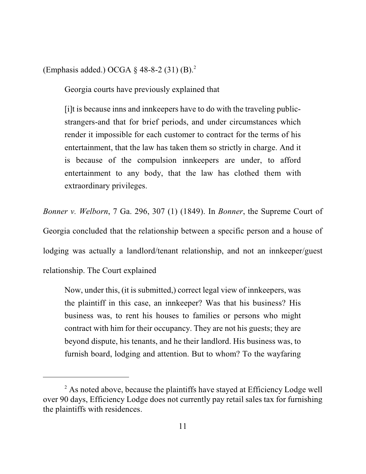(Emphasis added.) OCGA  $\S$  48-8-2 (31) (B).<sup>2</sup>

Georgia courts have previously explained that

[i]t is because inns and innkeepers have to do with the traveling publicstrangers-and that for brief periods, and under circumstances which render it impossible for each customer to contract for the terms of his entertainment, that the law has taken them so strictly in charge. And it is because of the compulsion innkeepers are under, to afford entertainment to any body, that the law has clothed them with extraordinary privileges.

*Bonner v. Welborn*, 7 Ga. 296, 307 (1) (1849). In *Bonner*, the Supreme Court of

Georgia concluded that the relationship between a specific person and a house of lodging was actually a landlord/tenant relationship, and not an innkeeper/guest relationship. The Court explained

Now, under this, (it is submitted,) correct legal view of innkeepers, was the plaintiff in this case, an innkeeper? Was that his business? His business was, to rent his houses to families or persons who might contract with him for their occupancy. They are not his guests; they are beyond dispute, his tenants, and he their landlord. His business was, to furnish board, lodging and attention. But to whom? To the wayfaring

 $2$  As noted above, because the plaintiffs have stayed at Efficiency Lodge well over 90 days, Efficiency Lodge does not currently pay retail sales tax for furnishing the plaintiffs with residences.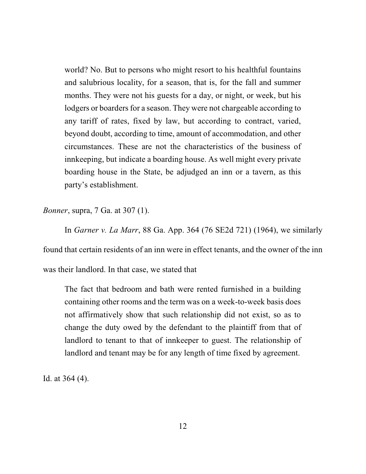world? No. But to persons who might resort to his healthful fountains and salubrious locality, for a season, that is, for the fall and summer months. They were not his guests for a day, or night, or week, but his lodgers or boarders for a season. They were not chargeable according to any tariff of rates, fixed by law, but according to contract, varied, beyond doubt, according to time, amount of accommodation, and other circumstances. These are not the characteristics of the business of innkeeping, but indicate a boarding house. As well might every private boarding house in the State, be adjudged an inn or a tavern, as this party's establishment.

*Bonner*, supra, 7 Ga. at 307 (1).

In *Garner v. La Marr*, 88 Ga. App. 364 (76 SE2d 721) (1964), we similarly found that certain residents of an inn were in effect tenants, and the owner of the inn was their landlord. In that case, we stated that

The fact that bedroom and bath were rented furnished in a building containing other rooms and the term was on a week-to-week basis does not affirmatively show that such relationship did not exist, so as to change the duty owed by the defendant to the plaintiff from that of landlord to tenant to that of innkeeper to guest. The relationship of landlord and tenant may be for any length of time fixed by agreement.

Id. at 364 (4).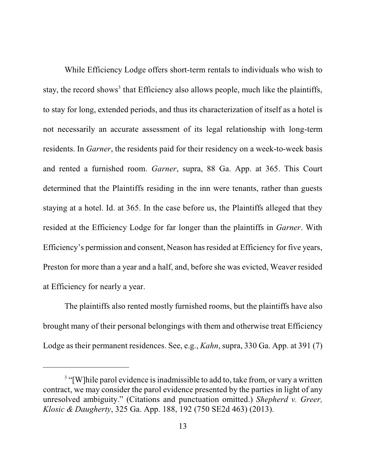While Efficiency Lodge offers short-term rentals to individuals who wish to stay, the record shows<sup>3</sup> that Efficiency also allows people, much like the plaintiffs, to stay for long, extended periods, and thus its characterization of itself as a hotel is not necessarily an accurate assessment of its legal relationship with long-term residents. In *Garner*, the residents paid for their residency on a week-to-week basis and rented a furnished room. *Garner*, supra, 88 Ga. App. at 365. This Court determined that the Plaintiffs residing in the inn were tenants, rather than guests staying at a hotel. Id. at 365. In the case before us, the Plaintiffs alleged that they resided at the Efficiency Lodge for far longer than the plaintiffs in *Garner*. With Efficiency's permission and consent, Neason has resided at Efficiency for five years, Preston for more than a year and a half, and, before she was evicted, Weaver resided at Efficiency for nearly a year.

The plaintiffs also rented mostly furnished rooms, but the plaintiffs have also brought many of their personal belongings with them and otherwise treat Efficiency Lodge as their permanent residences. See, e.g., *Kahn*, supra, 330 Ga. App. at 391 (7)

<sup>&</sup>lt;sup>3</sup> "[W]hile parol evidence is inadmissible to add to, take from, or vary a written contract, we may consider the parol evidence presented by the parties in light of any unresolved ambiguity." (Citations and punctuation omitted.) *Shepherd v. Greer, Klosic & Daugherty*, 325 Ga. App. 188, 192 (750 SE2d 463) (2013).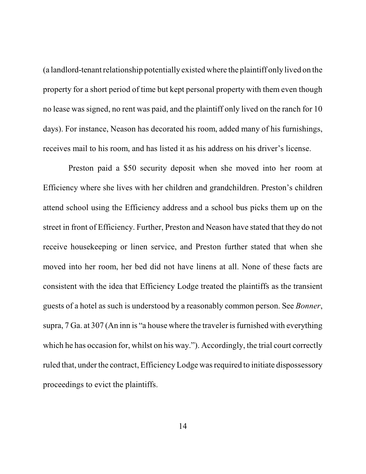(a landlord-tenantrelationship potentially existed where the plaintiff only lived on the property for a short period of time but kept personal property with them even though no lease was signed, no rent was paid, and the plaintiff only lived on the ranch for 10 days). For instance, Neason has decorated his room, added many of his furnishings, receives mail to his room, and has listed it as his address on his driver's license.

Preston paid a \$50 security deposit when she moved into her room at Efficiency where she lives with her children and grandchildren. Preston's children attend school using the Efficiency address and a school bus picks them up on the street in front of Efficiency. Further, Preston and Neason have stated that they do not receive housekeeping or linen service, and Preston further stated that when she moved into her room, her bed did not have linens at all. None of these facts are consistent with the idea that Efficiency Lodge treated the plaintiffs as the transient guests of a hotel as such is understood by a reasonably common person. See *Bonner*, supra,  $7$  Ga. at  $307$  (An inn is "a house where the traveler is furnished with everything which he has occasion for, whilst on his way."). Accordingly, the trial court correctly ruled that, under the contract, Efficiency Lodge was required to initiate dispossessory proceedings to evict the plaintiffs.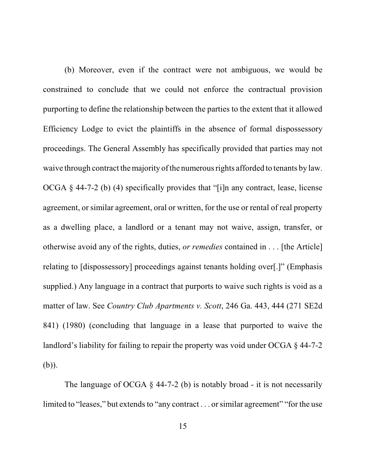(b) Moreover, even if the contract were not ambiguous, we would be constrained to conclude that we could not enforce the contractual provision purporting to define the relationship between the parties to the extent that it allowed Efficiency Lodge to evict the plaintiffs in the absence of formal dispossessory proceedings. The General Assembly has specifically provided that parties may not waive through contract the majority of the numerous rights afforded to tenants by law. OCGA § 44-7-2 (b) (4) specifically provides that "[i]n any contract, lease, license agreement, or similar agreement, oral or written, for the use or rental of real property as a dwelling place, a landlord or a tenant may not waive, assign, transfer, or otherwise avoid any of the rights, duties, *or remedies* contained in . . . [the Article] relating to [dispossessory] proceedings against tenants holding over[.]" (Emphasis supplied.) Any language in a contract that purports to waive such rights is void as a matter of law. See *Country Club Apartments v. Scott*, 246 Ga. 443, 444 (271 SE2d 841) (1980) (concluding that language in a lease that purported to waive the landlord's liability for failing to repair the property was void under OCGA § 44-7-2 (b)).

The language of OCGA  $\S$  44-7-2 (b) is notably broad - it is not necessarily limited to "leases," but extends to "any contract . . . or similar agreement" "for the use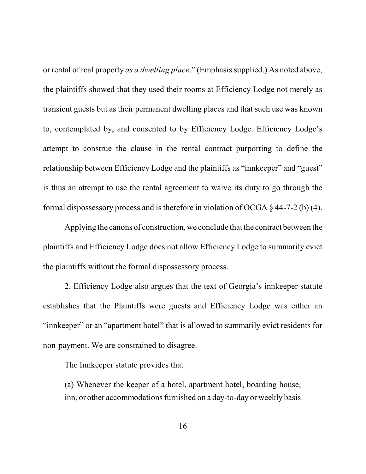or rental of real property *as a dwelling place*." (Emphasis supplied.) As noted above, the plaintiffs showed that they used their rooms at Efficiency Lodge not merely as transient guests but as their permanent dwelling places and that such use was known to, contemplated by, and consented to by Efficiency Lodge. Efficiency Lodge's attempt to construe the clause in the rental contract purporting to define the relationship between Efficiency Lodge and the plaintiffs as "innkeeper" and "guest" is thus an attempt to use the rental agreement to waive its duty to go through the formal dispossessory process and is therefore in violation of OCGA  $\S$  44-7-2 (b) (4).

Applying the canons of construction, we conclude that the contract between the plaintiffs and Efficiency Lodge does not allow Efficiency Lodge to summarily evict the plaintiffs without the formal dispossessory process.

2. Efficiency Lodge also argues that the text of Georgia's innkeeper statute establishes that the Plaintiffs were guests and Efficiency Lodge was either an "innkeeper" or an "apartment hotel" that is allowed to summarily evict residents for non-payment. We are constrained to disagree.

The Innkeeper statute provides that

(a) Whenever the keeper of a hotel, apartment hotel, boarding house, inn, or other accommodations furnished on a day-to-day or weekly basis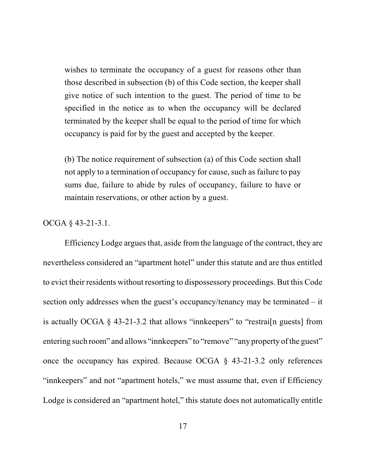wishes to terminate the occupancy of a guest for reasons other than those described in subsection (b) of this Code section, the keeper shall give notice of such intention to the guest. The period of time to be specified in the notice as to when the occupancy will be declared terminated by the keeper shall be equal to the period of time for which occupancy is paid for by the guest and accepted by the keeper.

(b) The notice requirement of subsection (a) of this Code section shall not apply to a termination of occupancy for cause, such as failure to pay sums due, failure to abide by rules of occupancy, failure to have or maintain reservations, or other action by a guest.

## OCGA § 43-21-3.1.

Efficiency Lodge argues that, aside from the language of the contract, they are nevertheless considered an "apartment hotel" under this statute and are thus entitled to evict their residents without resorting to dispossessory proceedings. But this Code section only addresses when the guest's occupancy/tenancy may be terminated – it is actually OCGA § 43-21-3.2 that allows "innkeepers" to "restrai[n guests] from entering such room" and allows "innkeepers" to "remove" "any property of the guest" once the occupancy has expired. Because OCGA § 43-21-3.2 only references "innkeepers" and not "apartment hotels," we must assume that, even if Efficiency Lodge is considered an "apartment hotel," this statute does not automatically entitle